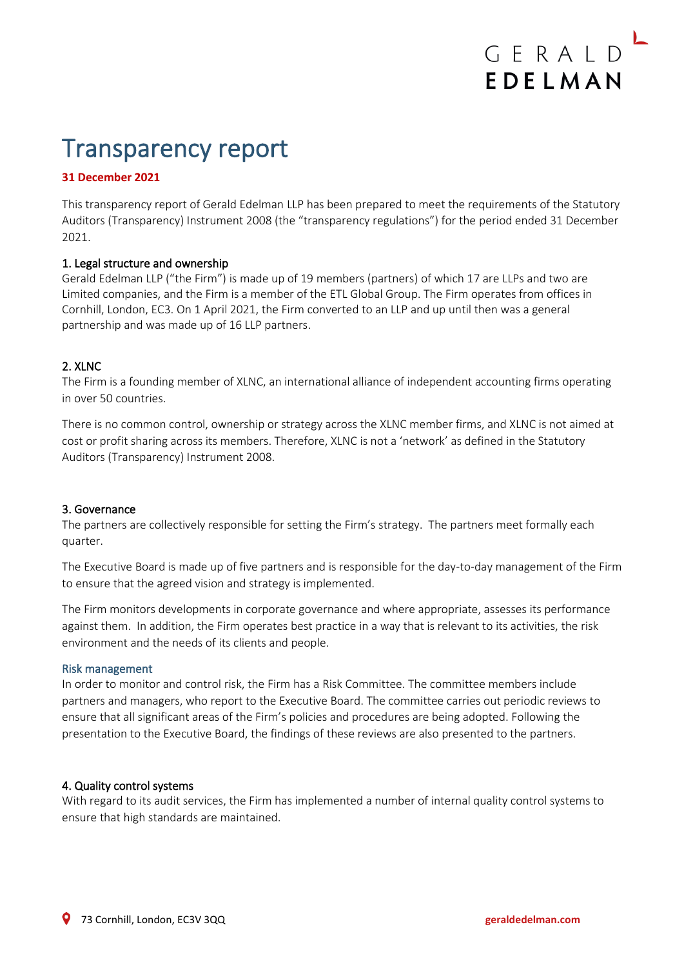# Transparency report

## **31 December 2021**

This transparency report of Gerald Edelman LLP has been prepared to meet the requirements of the Statutory Auditors (Transparency) Instrument 2008 (the "transparency regulations") for the period ended 31 December 2021.

#### 1. Legal structure and ownership

Gerald Edelman LLP ("the Firm") is made up of 19 members (partners) of which 17 are LLPs and two are Limited companies, and the Firm is a member of the ETL Global Group. The Firm operates from offices in Cornhill, London, EC3. On 1 April 2021, the Firm converted to an LLP and up until then was a general partnership and was made up of 16 LLP partners.

#### 2. XLNC

The Firm is a founding member of XLNC, an international alliance of independent accounting firms operating in over 50 countries.

There is no common control, ownership or strategy across the XLNC member firms, and XLNC is not aimed at cost or profit sharing across its members. Therefore, XLNC is not a 'network' as defined in the Statutory Auditors (Transparency) Instrument 2008.

#### 3. Governance

The partners are collectively responsible for setting the Firm's strategy. The partners meet formally each quarter.

The Executive Board is made up of five partners and is responsible for the day-to-day management of the Firm to ensure that the agreed vision and strategy is implemented.

The Firm monitors developments in corporate governance and where appropriate, assesses its performance against them. In addition, the Firm operates best practice in a way that is relevant to its activities, the risk environment and the needs of its clients and people.

#### Risk management

In order to monitor and control risk, the Firm has a Risk Committee. The committee members include partners and managers, who report to the Executive Board. The committee carries out periodic reviews to ensure that all significant areas of the Firm's policies and procedures are being adopted. Following the presentation to the Executive Board, the findings of these reviews are also presented to the partners.

#### 4. Quality control systems

With regard to its audit services, the Firm has implemented a number of internal quality control systems to ensure that high standards are maintained.

GERALD

EDELMAN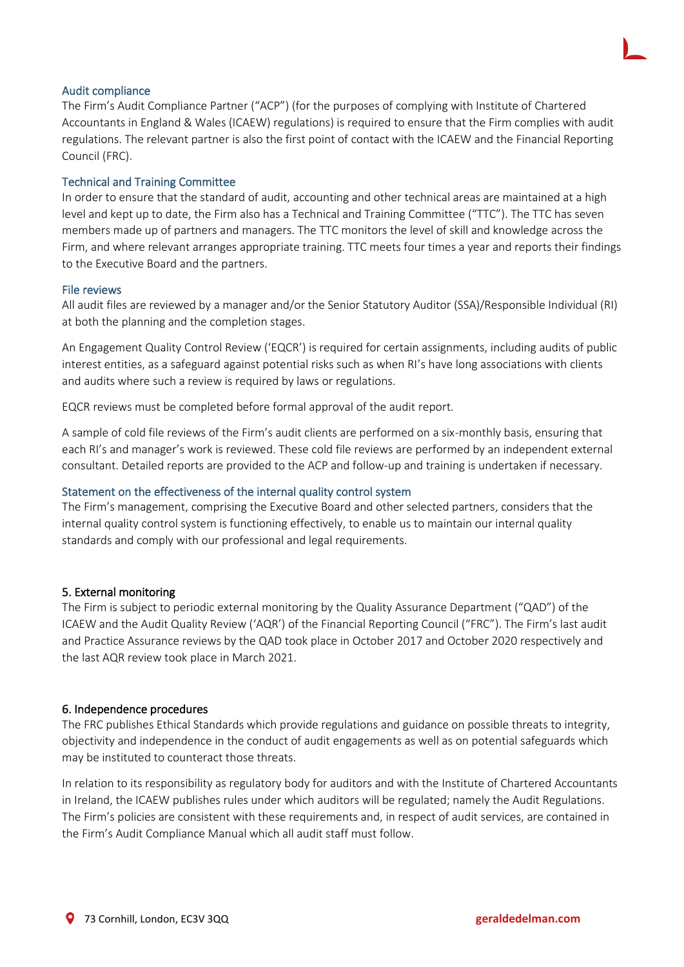#### Audit compliance

The Firm's Audit Compliance Partner ("ACP") (for the purposes of complying with Institute of Chartered Accountants in England & Wales (ICAEW) regulations) is required to ensure that the Firm complies with audit regulations. The relevant partner is also the first point of contact with the ICAEW and the Financial Reporting Council (FRC).

### Technical and Training Committee

In order to ensure that the standard of audit, accounting and other technical areas are maintained at a high level and kept up to date, the Firm also has a Technical and Training Committee ("TTC"). The TTC has seven members made up of partners and managers. The TTC monitors the level of skill and knowledge across the Firm, and where relevant arranges appropriate training. TTC meets four times a year and reports their findings to the Executive Board and the partners.

#### File reviews

All audit files are reviewed by a manager and/or the Senior Statutory Auditor (SSA)/Responsible Individual (RI) at both the planning and the completion stages.

An Engagement Quality Control Review ('EQCR') is required for certain assignments, including audits of public interest entities, as a safeguard against potential risks such as when RI's have long associations with clients and audits where such a review is required by laws or regulations.

EQCR reviews must be completed before formal approval of the audit report.

A sample of cold file reviews of the Firm's audit clients are performed on a six-monthly basis, ensuring that each RI's and manager's work is reviewed. These cold file reviews are performed by an independent external consultant. Detailed reports are provided to the ACP and follow-up and training is undertaken if necessary.

#### Statement on the effectiveness of the internal quality control system

The Firm's management, comprising the Executive Board and other selected partners, considers that the internal quality control system is functioning effectively, to enable us to maintain our internal quality standards and comply with our professional and legal requirements.

## 5. External monitoring

The Firm is subject to periodic external monitoring by the Quality Assurance Department ("QAD") of the ICAEW and the Audit Quality Review ('AQR') of the Financial Reporting Council ("FRC"). The Firm's last audit and Practice Assurance reviews by the QAD took place in October 2017 and October 2020 respectively and the last AQR review took place in March 2021.

#### 6. Independence procedures

The FRC publishes Ethical Standards which provide regulations and guidance on possible threats to integrity, objectivity and independence in the conduct of audit engagements as well as on potential safeguards which may be instituted to counteract those threats.

In relation to its responsibility as regulatory body for auditors and with the Institute of Chartered Accountants in Ireland, the ICAEW publishes rules under which auditors will be regulated; namely the Audit Regulations. The Firm's policies are consistent with these requirements and, in respect of audit services, are contained in the Firm's Audit Compliance Manual which all audit staff must follow.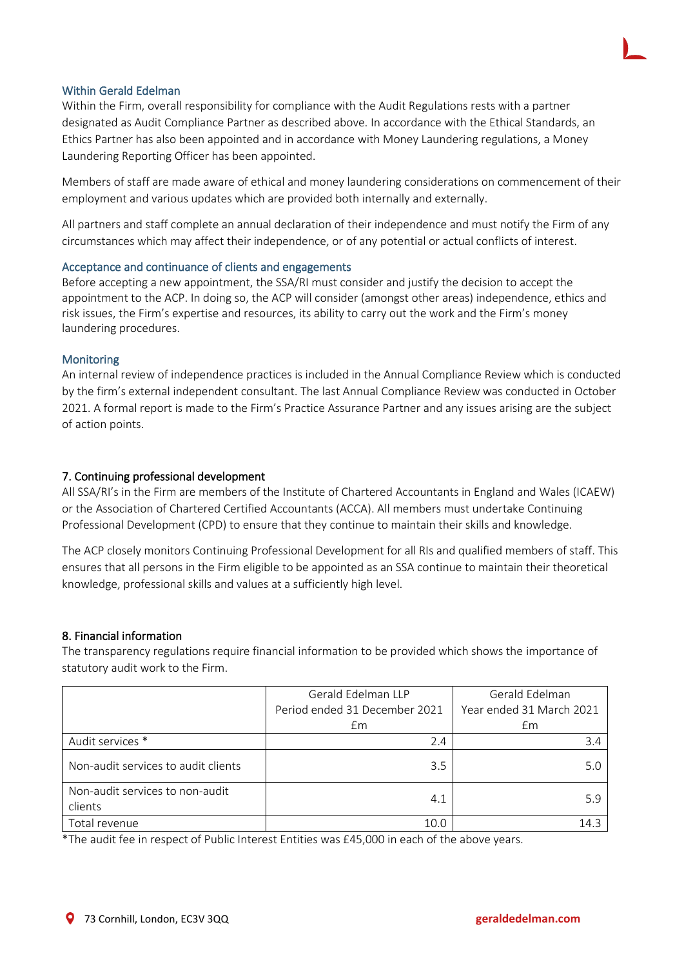## Within Gerald Edelman

Within the Firm, overall responsibility for compliance with the Audit Regulations rests with a partner designated as Audit Compliance Partner as described above. In accordance with the Ethical Standards, an Ethics Partner has also been appointed and in accordance with Money Laundering regulations, a Money Laundering Reporting Officer has been appointed.

Members of staff are made aware of ethical and money laundering considerations on commencement of their employment and various updates which are provided both internally and externally.

All partners and staff complete an annual declaration of their independence and must notify the Firm of any circumstances which may affect their independence, or of any potential or actual conflicts of interest.

#### Acceptance and continuance of clients and engagements

Before accepting a new appointment, the SSA/RI must consider and justify the decision to accept the appointment to the ACP. In doing so, the ACP will consider (amongst other areas) independence, ethics and risk issues, the Firm's expertise and resources, its ability to carry out the work and the Firm's money laundering procedures.

#### **Monitoring**

An internal review of independence practices is included in the Annual Compliance Review which is conducted by the firm's external independent consultant. The last Annual Compliance Review was conducted in October 2021. A formal report is made to the Firm's Practice Assurance Partner and any issues arising are the subject of action points.

#### 7. Continuing professional development

All SSA/RI's in the Firm are members of the Institute of Chartered Accountants in England and Wales (ICAEW) or the Association of Chartered Certified Accountants (ACCA). All members must undertake Continuing Professional Development (CPD) to ensure that they continue to maintain their skills and knowledge.

The ACP closely monitors Continuing Professional Development for all RIs and qualified members of staff. This ensures that all persons in the Firm eligible to be appointed as an SSA continue to maintain their theoretical knowledge, professional skills and values at a sufficiently high level.

#### 8. Financial information

The transparency regulations require financial information to be provided which shows the importance of statutory audit work to the Firm.

|                                            | Gerald Edelman LLP            | Gerald Edelman           |
|--------------------------------------------|-------------------------------|--------------------------|
|                                            | Period ended 31 December 2021 | Year ended 31 March 2021 |
|                                            | £m                            | £m                       |
| Audit services *                           | 2.4                           | 3.4                      |
| Non-audit services to audit clients        | 3.5                           | 5.0                      |
| Non-audit services to non-audit<br>clients | 4.1                           | 5.9                      |
| Total revenue                              | 10.0                          | 14.3                     |

\*The audit fee in respect of Public Interest Entities was £45,000 in each of the above years.